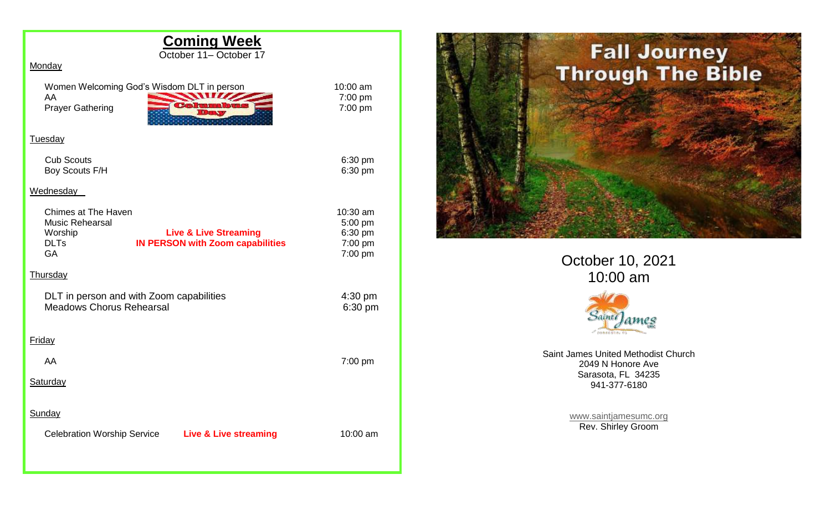| <b>Coming Week</b>                                                                                                                                           |                                                      |
|--------------------------------------------------------------------------------------------------------------------------------------------------------------|------------------------------------------------------|
| October 11- October 17<br>Monday                                                                                                                             |                                                      |
| Women Welcoming God's Wisdom DLT in person<br>W<br>AA<br><b>Prayer Gathering</b>                                                                             | 10:00 am<br>7:00 pm<br>7:00 pm                       |
| Tuesday                                                                                                                                                      |                                                      |
| <b>Cub Scouts</b><br>Boy Scouts F/H                                                                                                                          | 6:30 pm<br>6:30 pm                                   |
| Wednesday                                                                                                                                                    |                                                      |
| Chimes at The Haven<br>Music Rehearsal<br>Worship<br><b>Live &amp; Live Streaming</b><br><b>DLTs</b><br><b>IN PERSON with Zoom capabilities</b><br><b>GA</b> | 10:30 am<br>5:00 pm<br>6:30 pm<br>7:00 pm<br>7:00 pm |
| Thursday                                                                                                                                                     |                                                      |
| DLT in person and with Zoom capabilities<br><b>Meadows Chorus Rehearsal</b>                                                                                  | 4:30 pm<br>6:30 pm                                   |
| Friday                                                                                                                                                       |                                                      |
| AA                                                                                                                                                           | 7:00 pm                                              |
| Saturday                                                                                                                                                     |                                                      |
| Sunday                                                                                                                                                       |                                                      |
| Celebration Worship Service Live & Live streaming                                                                                                            | 10:00 am                                             |
|                                                                                                                                                              |                                                      |



October 10, 2021 10:00 am



Saint James United Methodist Church 2049 N Honore Ave Sarasota, FL 34235 941-377-6180

> [www.saintjamesumc.org](http://www.saintjamesumc.org/) Rev. Shirley Groom